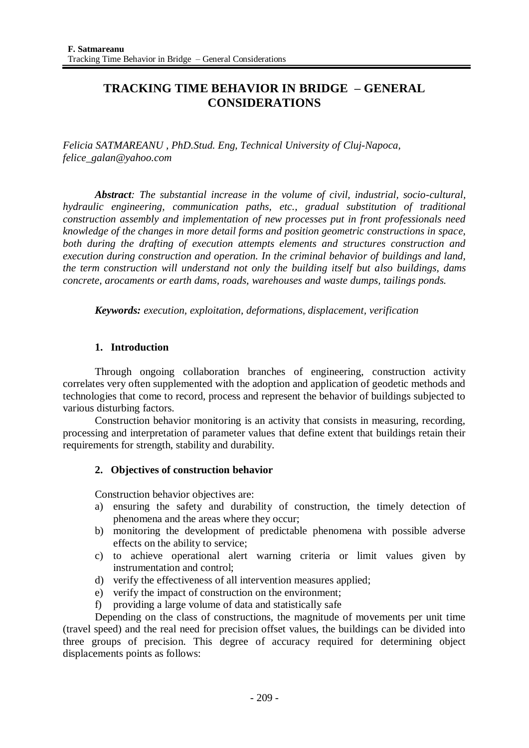# **TRACKING TIME BEHAVIOR IN BRIDGE – GENERAL CONSIDERATIONS**

*Felicia SATMAREANU , PhD.Stud. Eng, Technical University of Cluj-Napoca, felice\_galan@yahoo.com*

*Abstract: The substantial increase in the volume of civil, industrial, socio-cultural, hydraulic engineering, communication paths, etc., gradual substitution of traditional construction assembly and implementation of new processes put in front professionals need knowledge of the changes in more detail forms and position geometric constructions in space, both during the drafting of execution attempts elements and structures construction and execution during construction and operation. In the criminal behavior of buildings and land, the term construction will understand not only the building itself but also buildings, dams concrete, arocaments or earth dams, roads, warehouses and waste dumps, tailings ponds.*

*Keywords: execution, exploitation, deformations, displacement, verification*

## **1. Introduction**

Through ongoing collaboration branches of engineering, construction activity correlates very often supplemented with the adoption and application of geodetic methods and technologies that come to record, process and represent the behavior of buildings subjected to various disturbing factors.

Construction behavior monitoring is an activity that consists in measuring, recording, processing and interpretation of parameter values that define extent that buildings retain their requirements for strength, stability and durability.

## **2. Objectives of construction behavior**

Construction behavior objectives are:

- a) ensuring the safety and durability of construction, the timely detection of phenomena and the areas where they occur;
- b) monitoring the development of predictable phenomena with possible adverse effects on the ability to service;
- c) to achieve operational alert warning criteria or limit values given by instrumentation and control;
- d) verify the effectiveness of all intervention measures applied;
- e) verify the impact of construction on the environment;
- f) providing a large volume of data and statistically safe

Depending on the class of constructions, the magnitude of movements per unit time (travel speed) and the real need for precision offset values, the buildings can be divided into three groups of precision. This degree of accuracy required for determining object displacements points as follows: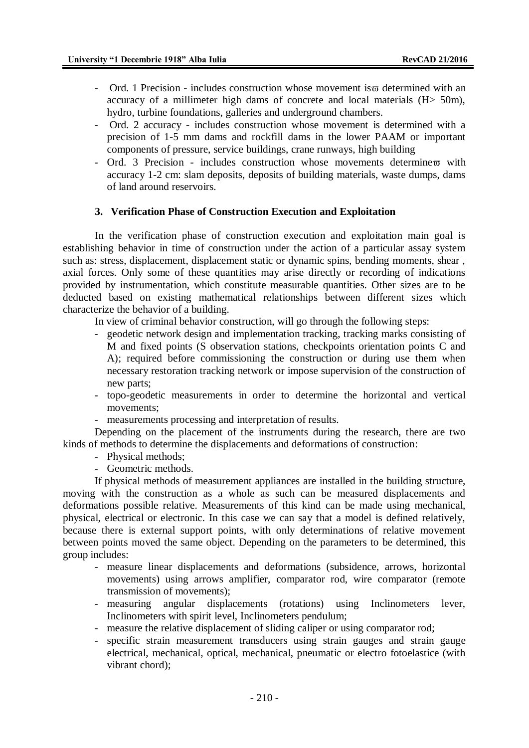- Ord. 1 Precision includes construction whose movement is  $\pi$  determined with an accuracy of a millimeter high dams of concrete and local materials (H> 50m), hydro, turbine foundations, galleries and underground chambers.
- Ord. 2 accuracy includes construction whose movement is determined with a precision of 1-5 mm dams and rockfill dams in the lower PAAM or important components of pressure, service buildings, crane runways, high building
- Ord. 3 Precision includes construction whose movements determine  $\varpi$  with accuracy 1-2 cm: slam deposits, deposits of building materials, waste dumps, dams of land around reservoirs.

#### **3. Verification Phase of Construction Execution and Exploitation**

In the verification phase of construction execution and exploitation main goal is establishing behavior in time of construction under the action of a particular assay system such as: stress, displacement, displacement static or dynamic spins, bending moments, shear , axial forces. Only some of these quantities may arise directly or recording of indications provided by instrumentation, which constitute measurable quantities. Other sizes are to be deducted based on existing mathematical relationships between different sizes which characterize the behavior of a building.

In view of criminal behavior construction, will go through the following steps:

- geodetic network design and implementation tracking, tracking marks consisting of M and fixed points (S observation stations, checkpoints orientation points C and A); required before commissioning the construction or during use them when necessary restoration tracking network or impose supervision of the construction of new parts;
- topo-geodetic measurements in order to determine the horizontal and vertical movements;
- measurements processing and interpretation of results.

Depending on the placement of the instruments during the research, there are two kinds of methods to determine the displacements and deformations of construction:

- Physical methods;
- Geometric methods.

If physical methods of measurement appliances are installed in the building structure, moving with the construction as a whole as such can be measured displacements and deformations possible relative. Measurements of this kind can be made using mechanical, physical, electrical or electronic. In this case we can say that a model is defined relatively, because there is external support points, with only determinations of relative movement between points moved the same object. Depending on the parameters to be determined, this group includes:

- measure linear displacements and deformations (subsidence, arrows, horizontal movements) using arrows amplifier, comparator rod, wire comparator (remote transmission of movements);
- measuring angular displacements (rotations) using Inclinometers lever, Inclinometers with spirit level, Inclinometers pendulum;
- measure the relative displacement of sliding caliper or using comparator rod:
- specific strain measurement transducers using strain gauges and strain gauge electrical, mechanical, optical, mechanical, pneumatic or electro fotoelastice (with vibrant chord);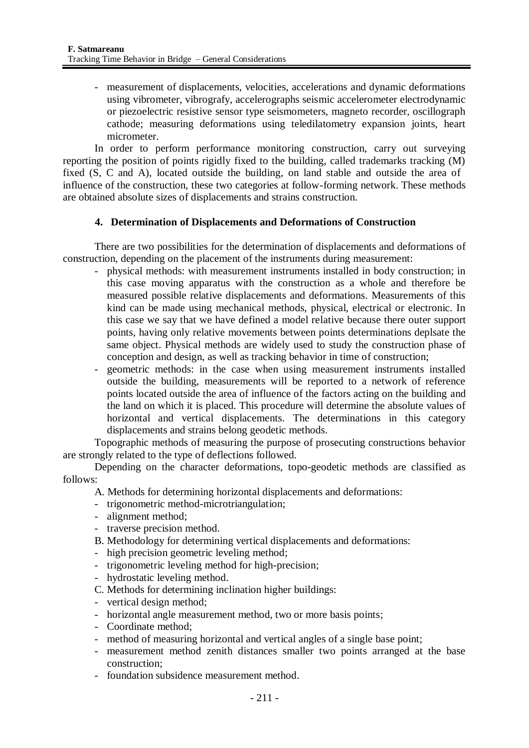- measurement of displacements, velocities, accelerations and dynamic deformations using vibrometer, vibrografy, accelerographs seismic accelerometer electrodynamic or piezoelectric resistive sensor type seismometers, magneto recorder, oscillograph cathode; measuring deformations using teledilatometry expansion joints, heart micrometer.

In order to perform performance monitoring construction, carry out surveying reporting the position of points rigidly fixed to the building, called trademarks tracking (M) fixed (S, C and A), located outside the building, on land stable and outside the area of influence of the construction, these two categories at follow-forming network. These methods are obtained absolute sizes of displacements and strains construction.

### **4. Determination of Displacements and Deformations of Construction**

There are two possibilities for the determination of displacements and deformations of construction, depending on the placement of the instruments during measurement:

- physical methods: with measurement instruments installed in body construction; in this case moving apparatus with the construction as a whole and therefore be measured possible relative displacements and deformations. Measurements of this kind can be made using mechanical methods, physical, electrical or electronic. In this case we say that we have defined a model relative because there outer support points, having only relative movements between points determinations deplsate the same object. Physical methods are widely used to study the construction phase of conception and design, as well as tracking behavior in time of construction;
- geometric methods: in the case when using measurement instruments installed outside the building, measurements will be reported to a network of reference points located outside the area of influence of the factors acting on the building and the land on which it is placed. This procedure will determine the absolute values of horizontal and vertical displacements. The determinations in this category displacements and strains belong geodetic methods.

Topographic methods of measuring the purpose of prosecuting constructions behavior are strongly related to the type of deflections followed.

Depending on the character deformations, topo-geodetic methods are classified as follows:

- A. Methods for determining horizontal displacements and deformations:
- trigonometric method-microtriangulation;
- alignment method;
- traverse precision method.
- B. Methodology for determining vertical displacements and deformations:
- high precision geometric leveling method;
- trigonometric leveling method for high-precision;
- hydrostatic leveling method.
- C. Methods for determining inclination higher buildings:
- vertical design method;
- horizontal angle measurement method, two or more basis points;
- Coordinate method;
- method of measuring horizontal and vertical angles of a single base point;
- measurement method zenith distances smaller two points arranged at the base construction;
- foundation subsidence measurement method.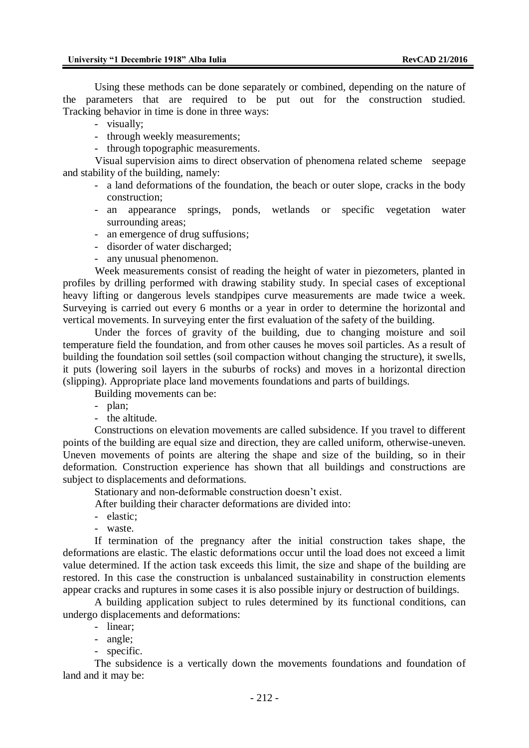Using these methods can be done separately or combined, depending on the nature of the parameters that are required to be put out for the construction studied. Tracking behavior in time is done in three ways:

- visually;
- through weekly measurements;
- through topographic measurements.

Visual supervision aims to direct observation of phenomena related scheme seepage and stability of the building, namely:

- a land deformations of the foundation, the beach or outer slope, cracks in the body construction;
- an appearance springs, ponds, wetlands or specific vegetation water surrounding areas;
- an emergence of drug suffusions;
- disorder of water discharged;
- any unusual phenomenon.

Week measurements consist of reading the height of water in piezometers, planted in profiles by drilling performed with drawing stability study. In special cases of exceptional heavy lifting or dangerous levels standpipes curve measurements are made twice a week. Surveying is carried out every 6 months or a year in order to determine the horizontal and vertical movements. In surveying enter the first evaluation of the safety of the building.

Under the forces of gravity of the building, due to changing moisture and soil temperature field the foundation, and from other causes he moves soil particles. As a result of building the foundation soil settles (soil compaction without changing the structure), it swells, it puts (lowering soil layers in the suburbs of rocks) and moves in a horizontal direction (slipping). Appropriate place land movements foundations and parts of buildings.

Building movements can be:

- plan;
- the altitude.

Constructions on elevation movements are called subsidence. If you travel to different points of the building are equal size and direction, they are called uniform, otherwise-uneven. Uneven movements of points are altering the shape and size of the building, so in their deformation. Construction experience has shown that all buildings and constructions are subject to displacements and deformations.

Stationary and non-deformable construction doesn't exist.

After building their character deformations are divided into:

- elastic;
- waste.

If termination of the pregnancy after the initial construction takes shape, the deformations are elastic. The elastic deformations occur until the load does not exceed a limit value determined. If the action task exceeds this limit, the size and shape of the building are restored. In this case the construction is unbalanced sustainability in construction elements appear cracks and ruptures in some cases it is also possible injury or destruction of buildings.

A building application subject to rules determined by its functional conditions, can undergo displacements and deformations:

- linear;
- angle;
- specific.

The subsidence is a vertically down the movements foundations and foundation of land and it may be: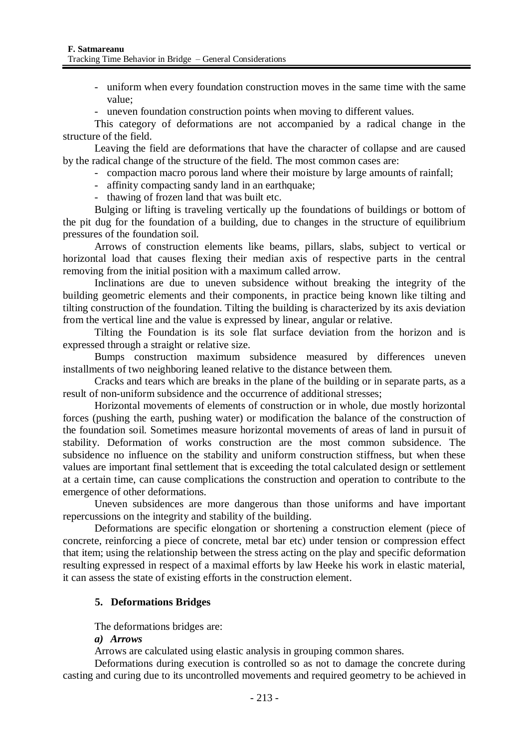- uniform when every foundation construction moves in the same time with the same value;
- uneven foundation construction points when moving to different values.

This category of deformations are not accompanied by a radical change in the structure of the field.

Leaving the field are deformations that have the character of collapse and are caused by the radical change of the structure of the field. The most common cases are:

- compaction macro porous land where their moisture by large amounts of rainfall;
- affinity compacting sandy land in an earthquake;
- thawing of frozen land that was built etc.

Bulging or lifting is traveling vertically up the foundations of buildings or bottom of the pit dug for the foundation of a building, due to changes in the structure of equilibrium pressures of the foundation soil.

Arrows of construction elements like beams, pillars, slabs, subject to vertical or horizontal load that causes flexing their median axis of respective parts in the central removing from the initial position with a maximum called arrow.

Inclinations are due to uneven subsidence without breaking the integrity of the building geometric elements and their components, in practice being known like tilting and tilting construction of the foundation. Tilting the building is characterized by its axis deviation from the vertical line and the value is expressed by linear, angular or relative.

Tilting the Foundation is its sole flat surface deviation from the horizon and is expressed through a straight or relative size.

Bumps construction maximum subsidence measured by differences uneven installments of two neighboring leaned relative to the distance between them.

Cracks and tears which are breaks in the plane of the building or in separate parts, as a result of non-uniform subsidence and the occurrence of additional stresses;

Horizontal movements of elements of construction or in whole, due mostly horizontal forces (pushing the earth, pushing water) or modification the balance of the construction of the foundation soil. Sometimes measure horizontal movements of areas of land in pursuit of stability. Deformation of works construction are the most common subsidence. The subsidence no influence on the stability and uniform construction stiffness, but when these values are important final settlement that is exceeding the total calculated design or settlement at a certain time, can cause complications the construction and operation to contribute to the emergence of other deformations.

Uneven subsidences are more dangerous than those uniforms and have important repercussions on the integrity and stability of the building.

Deformations are specific elongation or shortening a construction element (piece of concrete, reinforcing a piece of concrete, metal bar etc) under tension or compression effect that item; using the relationship between the stress acting on the play and specific deformation resulting expressed in respect of a maximal efforts by law Heeke his work in elastic material, it can assess the state of existing efforts in the construction element.

## **5. Deformations Bridges**

The deformations bridges are:

## *a) Arrows*

Arrows are calculated using elastic analysis in grouping common shares.

Deformations during execution is controlled so as not to damage the concrete during casting and curing due to its uncontrolled movements and required geometry to be achieved in